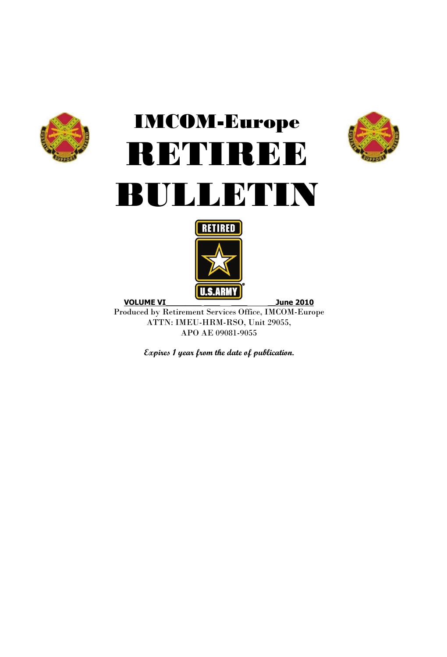

# IMCOM-Europe RETIREE BULLETIN





Produced by Retirement Services Office, IMCOM-Europe ATTN: IMEU-HRM-RSO, Unit 29055, APO AE 09081-9055

**Expires 1 year from the date of publication.**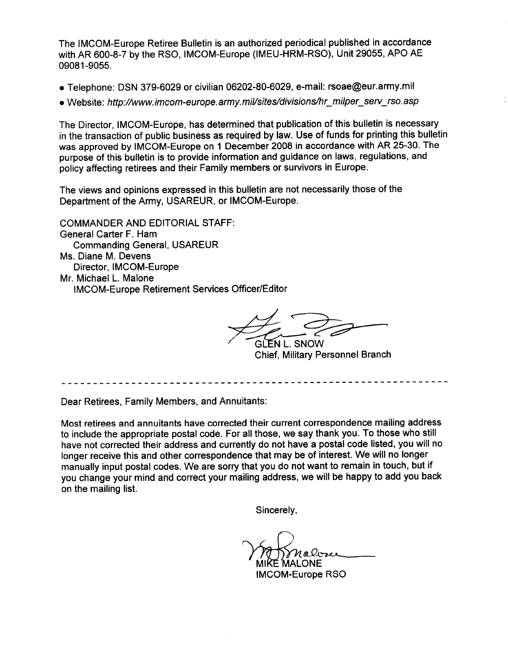The IMCOM-Europe Retiree Bulletin is an authorized periodical published in accordance with AR 600-8-7 by the RSO, IMCOM-Europe (IMEU-HRM-RSO), Unit 29055, APO AE 09081-9055.

- Telephone: DSN 379-6029 or civilian 06202-80-6029, e-mail: rsoae@eur.army.mil
- Website: http://www.imcom-europe.army.mil/sites/divisions/hr\_milper\_serv\_rso.asp

The Director, IMCOM-Europe, has determined that publication of this bulletin is necessary in the transaction of public business as required by law. Use of funds for printing this bulletin was approved by IMCOM-Europe on 1 December 2008 in accordance with AR 25-30. The purpose of this bulletin is to provide information and guidance on laws, regulations, and policy affecting retirees and their Family members or survivors in Europe.

The views and opinions expressed in this bulletin are not necessarily those of the Department of the Army, USAREUR, or IMCOM-Europe.

**COMMANDER AND EDITORIAL STAFF:** General Carter F. Ham **Commanding General, USAREUR** Ms. Diane M. Devens Director. IMCOM-Europe Mr. Michael L. Malone **IMCOM-Europe Retirement Services Officer/Editor** 

GLEN L. SNOW **Chief, Military Personnel Branch** 

Dear Retirees, Family Members, and Annuitants:

Most retirees and annuitants have corrected their current correspondence mailing address to include the appropriate postal code. For all those, we say thank you. To those who still have not corrected their address and currently do not have a postal code listed, you will no longer receive this and other correspondence that may be of interest. We will no longer manually input postal codes. We are sorry that you do not want to remain in touch, but if you change your mind and correct your mailing address, we will be happy to add you back on the mailing list.

Sincerely,

.ONE

**IMCOM-Europe RSO**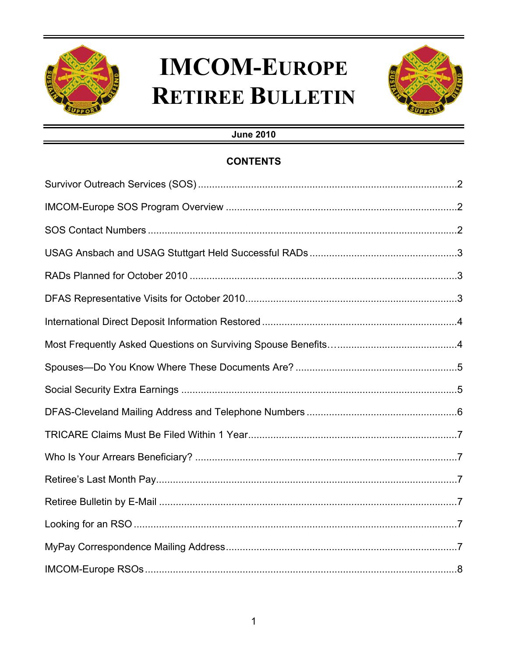

## **IMCOM-EUROPE RETIREE BULLETIN**



### **June 2010**

### **CONTENTS**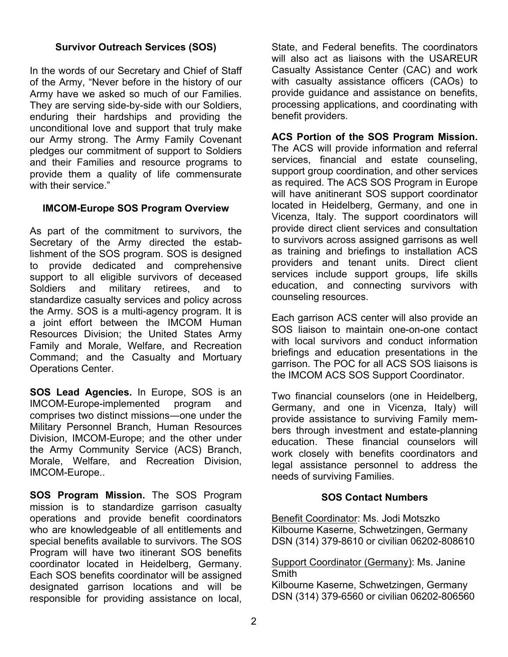### **Survivor Outreach Services (SOS)**

In the words of our Secretary and Chief of Staff of the Army, "Never before in the history of our Army have we asked so much of our Families. They are serving side-by-side with our Soldiers, enduring their hardships and providing the unconditional love and support that truly make our Army strong. The Army Family Covenant pledges our commitment of support to Soldiers and their Families and resource programs to provide them a quality of life commensurate with their service."

#### **IMCOM-Europe SOS Program Overview**

As part of the commitment to survivors, the Secretary of the Army directed the establishment of the SOS program. SOS is designed to provide dedicated and comprehensive support to all eligible survivors of deceased Soldiers and military retirees, and to standardize casualty services and policy across the Army. SOS is a multi-agency program. It is a joint effort between the IMCOM Human Resources Division; the United States Army Family and Morale, Welfare, and Recreation Command; and the Casualty and Mortuary Operations Center.

**SOS Lead Agencies.** In Europe, SOS is an IMCOM-Europe-implemented program and comprises two distinct missions―one under the Military Personnel Branch, Human Resources Division, IMCOM-Europe; and the other under the Army Community Service (ACS) Branch, Morale, Welfare, and Recreation Division, IMCOM-Europe..

**SOS Program Mission.** The SOS Program mission is to standardize garrison casualty operations and provide benefit coordinators who are knowledgeable of all entitlements and special benefits available to survivors. The SOS Program will have two itinerant SOS benefits coordinator located in Heidelberg, Germany. Each SOS benefits coordinator will be assigned designated garrison locations and will be responsible for providing assistance on local, State, and Federal benefits. The coordinators will also act as liaisons with the USAREUR Casualty Assistance Center (CAC) and work with casualty assistance officers (CAOs) to provide guidance and assistance on benefits, processing applications, and coordinating with benefit providers.

**ACS Portion of the SOS Program Mission.** The ACS will provide information and referral services, financial and estate counseling, support group coordination, and other services as required. The ACS SOS Program in Europe will have anitinerant SOS support coordinator located in Heidelberg, Germany, and one in Vicenza, Italy. The support coordinators will provide direct client services and consultation to survivors across assigned garrisons as well as training and briefings to installation ACS providers and tenant units. Direct client services include support groups, life skills education, and connecting survivors with counseling resources.

Each garrison ACS center will also provide an SOS liaison to maintain one-on-one contact with local survivors and conduct information briefings and education presentations in the garrison. The POC for all ACS SOS liaisons is the IMCOM ACS SOS Support Coordinator.

Two financial counselors (one in Heidelberg, Germany, and one in Vicenza, Italy) will provide assistance to surviving Family members through investment and estate-planning education. These financial counselors will work closely with benefits coordinators and legal assistance personnel to address the needs of surviving Families.

#### **SOS Contact Numbers**

Benefit Coordinator: Ms. Jodi Motszko Kilbourne Kaserne, Schwetzingen, Germany DSN (314) 379-8610 or civilian 06202-808610

#### Support Coordinator (Germany): Ms. Janine **Smith**

Kilbourne Kaserne, Schwetzingen, Germany DSN (314) 379-6560 or civilian 06202-806560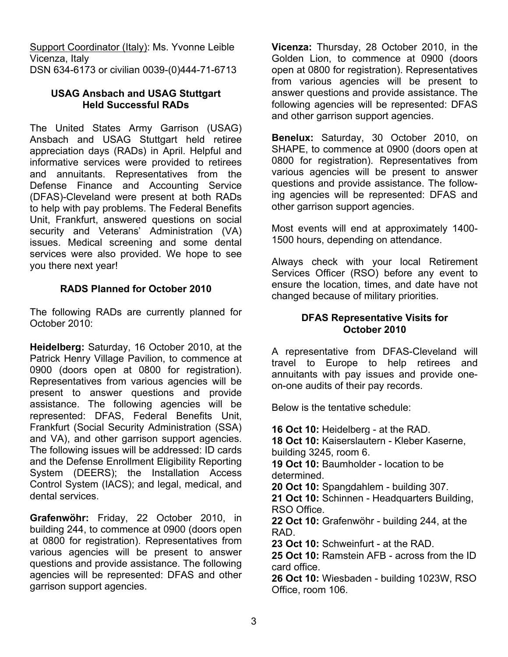Support Coordinator (Italy): Ms. Yvonne Leible Vicenza, Italy DSN 634-6173 or civilian 0039-(0)444-71-6713

### **USAG Ansbach and USAG Stuttgart Held Successful RADs**

The United States Army Garrison (USAG) Ansbach and USAG Stuttgart held retiree appreciation days (RADs) in April. Helpful and informative services were provided to retirees and annuitants. Representatives from the Defense Finance and Accounting Service (DFAS)-Cleveland were present at both RADs to help with pay problems. The Federal Benefits Unit, Frankfurt, answered questions on social security and Veterans' Administration (VA) issues. Medical screening and some dental services were also provided. We hope to see you there next year!

### **RADS Planned for October 2010**

The following RADs are currently planned for October 2010:

**Heidelberg:** Saturday, 16 October 2010, at the Patrick Henry Village Pavilion, to commence at 0900 (doors open at 0800 for registration). Representatives from various agencies will be present to answer questions and provide assistance. The following agencies will be represented: DFAS, Federal Benefits Unit, Frankfurt (Social Security Administration (SSA) and VA), and other garrison support agencies. The following issues will be addressed: ID cards and the Defense Enrollment Eligibility Reporting System (DEERS); the Installation Access Control System (IACS); and legal, medical, and dental services.

**Grafenwöhr:** Friday, 22 October 2010, in building 244, to commence at 0900 (doors open at 0800 for registration). Representatives from various agencies will be present to answer questions and provide assistance. The following agencies will be represented: DFAS and other garrison support agencies.

**Vicenza:** Thursday, 28 October 2010, in the Golden Lion, to commence at 0900 (doors open at 0800 for registration). Representatives from various agencies will be present to answer questions and provide assistance. The following agencies will be represented: DFAS and other garrison support agencies.

**Benelux:** Saturday, 30 October 2010, on SHAPE, to commence at 0900 (doors open at 0800 for registration). Representatives from various agencies will be present to answer questions and provide assistance. The following agencies will be represented: DFAS and other garrison support agencies.

Most events will end at approximately 1400- 1500 hours, depending on attendance.

Always check with your local Retirement Services Officer (RSO) before any event to ensure the location, times, and date have not changed because of military priorities.

### **DFAS Representative Visits for October 2010**

A representative from DFAS-Cleveland will travel to Europe to help retirees and annuitants with pay issues and provide oneon-one audits of their pay records.

Below is the tentative schedule:

**16 Oct 10:** Heidelberg - at the RAD. **18 Oct 10:** Kaiserslautern - Kleber Kaserne, building 3245, room 6. **19 Oct 10:** Baumholder - location to be determined. **20 Oct 10:** Spangdahlem - building 307. **21 Oct 10:** Schinnen - Headquarters Building, RSO Office. **22 Oct 10:** Grafenwöhr - building 244, at the RAD. **23 Oct 10:** Schweinfurt - at the RAD. **25 Oct 10:** Ramstein AFB - across from the ID card office. **26 Oct 10:** Wiesbaden - building 1023W, RSO Office, room 106.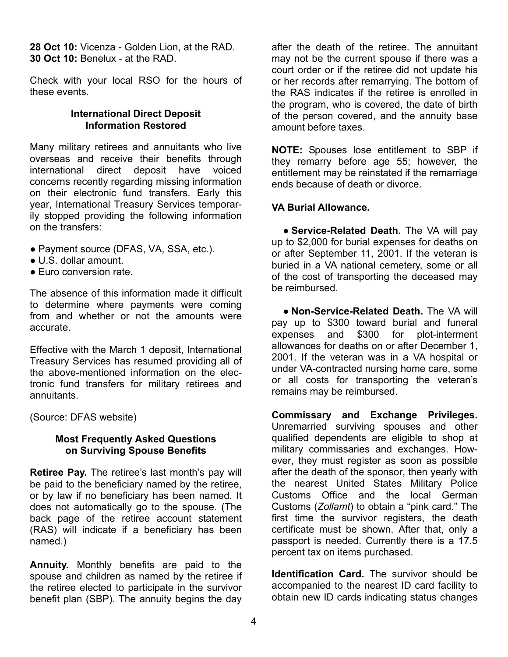**28 Oct 10:** Vicenza - Golden Lion, at the RAD. **30 Oct 10:** Benelux - at the RAD.

Check with your local RSO for the hours of these events.

#### **International Direct Deposit Information Restored**

Many military retirees and annuitants who live overseas and receive their benefits through international direct deposit have voiced concerns recently regarding missing information on their electronic fund transfers. Early this year, International Treasury Services temporarily stopped providing the following information on the transfers:

- **●** Payment source (DFAS, VA, SSA, etc.).
- **●** U.S. dollar amount.
- **●** Euro conversion rate.

The absence of this information made it difficult to determine where payments were coming from and whether or not the amounts were accurate.

Effective with the March 1 deposit, International Treasury Services has resumed providing all of the above-mentioned information on the electronic fund transfers for military retirees and annuitants.

(Source: DFAS website)

#### **Most Frequently Asked Questions on Surviving Spouse Benefits**

**Retiree Pay.** The retiree's last month's pay will be paid to the beneficiary named by the retiree, or by law if no beneficiary has been named. It does not automatically go to the spouse. (The back page of the retiree account statement (RAS) will indicate if a beneficiary has been named.)

**Annuity.** Monthly benefits are paid to the spouse and children as named by the retiree if the retiree elected to participate in the survivor benefit plan (SBP). The annuity begins the day after the death of the retiree. The annuitant may not be the current spouse if there was a court order or if the retiree did not update his or her records after remarrying. The bottom of the RAS indicates if the retiree is enrolled in the program, who is covered, the date of birth of the person covered, and the annuity base amount before taxes.

**NOTE:** Spouses lose entitlement to SBP if they remarry before age 55; however, the entitlement may be reinstated if the remarriage ends because of death or divorce.

#### **VA Burial Allowance.**

**● Service-Related Death.** The VA will pay up to \$2,000 for burial expenses for deaths on or after September 11, 2001. If the veteran is buried in a VA national cemetery, some or all of the cost of transporting the deceased may be reimbursed.

**● Non-Service-Related Death.** The VA will pay up to \$300 toward burial and funeral expenses and \$300 for plot-interment allowances for deaths on or after December 1, 2001. If the veteran was in a VA hospital or under VA-contracted nursing home care, some or all costs for transporting the veteran's remains may be reimbursed.

**Commissary and Exchange Privileges.** Unremarried surviving spouses and other qualified dependents are eligible to shop at military commissaries and exchanges. However, they must register as soon as possible after the death of the sponsor, then yearly with the nearest United States Military Police Customs Office and the local German Customs (*Zollamt*) to obtain a "pink card." The first time the survivor registers, the death certificate must be shown. After that, only a passport is needed. Currently there is a 17.5 percent tax on items purchased.

**Identification Card.** The survivor should be accompanied to the nearest ID card facility to obtain new ID cards indicating status changes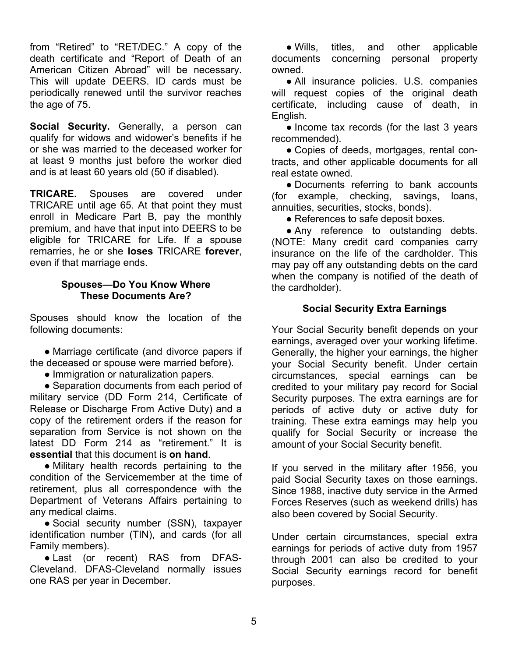from "Retired" to "RET/DEC." A copy of the death certificate and "Report of Death of an American Citizen Abroad" will be necessary. This will update DEERS. ID cards must be periodically renewed until the survivor reaches the age of 75.

**Social Security.** Generally, a person can qualify for widows and widower's benefits if he or she was married to the deceased worker for at least 9 months just before the worker died and is at least 60 years old (50 if disabled).

**TRICARE.** Spouses are covered under TRICARE until age 65. At that point they must enroll in Medicare Part B, pay the monthly premium, and have that input into DEERS to be eligible for TRICARE for Life. If a spouse remarries, he or she **loses** TRICARE **forever**, even if that marriage ends.

#### **Spouses—Do You Know Where These Documents Are?**

Spouses should know the location of the following documents:

**●** Marriage certificate (and divorce papers if the deceased or spouse were married before).

**●** Immigration or naturalization papers.

**●** Separation documents from each period of military service (DD Form 214, Certificate of Release or Discharge From Active Duty) and a copy of the retirement orders if the reason for separation from Service is not shown on the latest DD Form 214 as "retirement." It is **essential** that this document is **on hand**.

**●** Military health records pertaining to the condition of the Servicemember at the time of retirement, plus all correspondence with the Department of Veterans Affairs pertaining to any medical claims.

**●** Social security number (SSN), taxpayer identification number (TIN), and cards (for all Family members).

**●** Last (or recent) RAS from DFAS-Cleveland. DFAS-Cleveland normally issues one RAS per year in December.

**●** Wills, titles, and other applicable documents concerning personal property owned.

**●** All insurance policies. U.S. companies will request copies of the original death certificate, including cause of death, in English.

**●** Income tax records (for the last 3 years recommended).

**●** Copies of deeds, mortgages, rental contracts, and other applicable documents for all real estate owned.

**●** Documents referring to bank accounts (for example, checking, savings, loans, annuities, securities, stocks, bonds).

**●** References to safe deposit boxes.

**●** Any reference to outstanding debts. (NOTE: Many credit card companies carry insurance on the life of the cardholder. This may pay off any outstanding debts on the card when the company is notified of the death of the cardholder).

### **Social Security Extra Earnings**

Your Social Security benefit depends on your earnings, averaged over your working lifetime. Generally, the higher your earnings, the higher your Social Security benefit. Under certain circumstances, special earnings can be credited to your military pay record for Social Security purposes. The extra earnings are for periods of active duty or active duty for training. These extra earnings may help you qualify for Social Security or increase the amount of your Social Security benefit.

If you served in the military after 1956, you paid Social Security taxes on those earnings. Since 1988, inactive duty service in the Armed Forces Reserves (such as weekend drills) has also been covered by Social Security.

Under certain circumstances, special extra earnings for periods of active duty from 1957 through 2001 can also be credited to your Social Security earnings record for benefit purposes.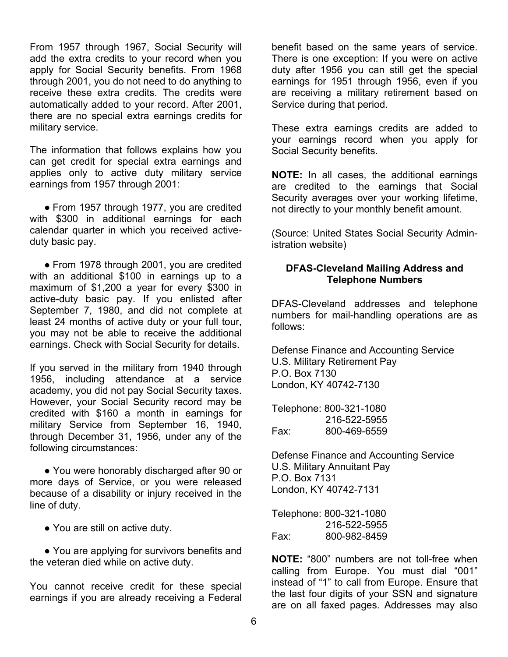From 1957 through 1967, Social Security will add the extra credits to your record when you apply for Social Security benefits. From 1968 through 2001, you do not need to do anything to receive these extra credits. The credits were automatically added to your record. After 2001, there are no special extra earnings credits for military service.

The information that follows explains how you can get credit for special extra earnings and applies only to active duty military service earnings from 1957 through 2001:

• From 1957 through 1977, you are credited with \$300 in additional earnings for each calendar quarter in which you received activeduty basic pay.

**●** From 1978 through 2001, you are credited with an additional \$100 in earnings up to a maximum of \$1,200 a year for every \$300 in active-duty basic pay. If you enlisted after September 7, 1980, and did not complete at least 24 months of active duty or your full tour, you may not be able to receive the additional earnings. Check with Social Security for details.

If you served in the military from 1940 through 1956, including attendance at a service academy, you did not pay Social Security taxes. However, your Social Security record may be credited with \$160 a month in earnings for military Service from September 16, 1940, through December 31, 1956, under any of the following circumstances:

**●** You were honorably discharged after 90 or more days of Service, or you were released because of a disability or injury received in the line of duty.

**●** You are still on active duty.

**●** You are applying for survivors benefits and the veteran died while on active duty.

You cannot receive credit for these special earnings if you are already receiving a Federal benefit based on the same years of service. There is one exception: If you were on active duty after 1956 you can still get the special earnings for 1951 through 1956, even if you are receiving a military retirement based on Service during that period.

These extra earnings credits are added to your earnings record when you apply for Social Security benefits.

**NOTE:** In all cases, the additional earnings are credited to the earnings that Social Security averages over your working lifetime, not directly to your monthly benefit amount.

(Source: United States Social Security Administration website)

#### **DFAS-Cleveland Mailing Address and Telephone Numbers**

DFAS-Cleveland addresses and telephone numbers for mail-handling operations are as follows:

Defense Finance and Accounting Service U.S. Military Retirement Pay P.O. Box 7130 London, KY 40742-7130

Telephone: 800-321-1080 216-522-5955 Fax: 800-469-6559

Defense Finance and Accounting Service U.S. Military Annuitant Pay P.O. Box 7131 London, KY 40742-7131

Telephone: 800-321-1080 216-522-5955 Fax: 800-982-8459

**NOTE:** "800" numbers are not toll-free when calling from Europe. You must dial "001" instead of "1" to call from Europe. Ensure that the last four digits of your SSN and signature are on all faxed pages. Addresses may also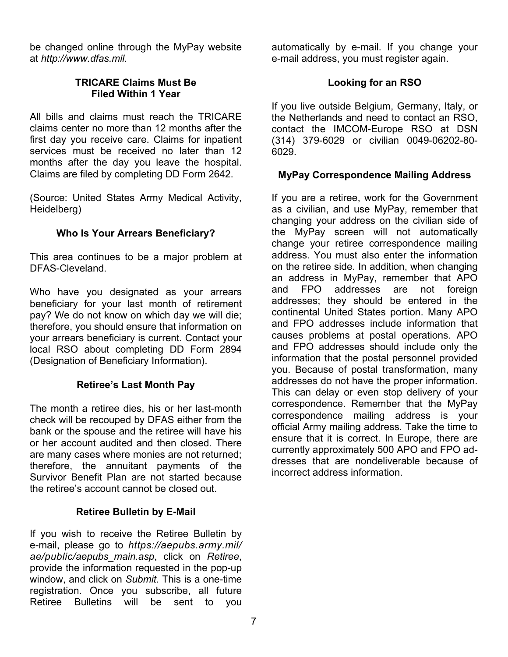be changed online through the MyPay website at *http://www.dfas.mil*.

### **TRICARE Claims Must Be Filed Within 1 Year**

All bills and claims must reach the TRICARE claims center no more than 12 months after the first day you receive care. Claims for inpatient services must be received no later than 12 months after the day you leave the hospital. Claims are filed by completing DD Form 2642.

(Source: United States Army Medical Activity, Heidelberg)

### **Who Is Your Arrears Beneficiary?**

This area continues to be a major problem at DFAS-Cleveland.

Who have you designated as your arrears beneficiary for your last month of retirement pay? We do not know on which day we will die; therefore, you should ensure that information on your arrears beneficiary is current. Contact your local RSO about completing DD Form 2894 (Designation of Beneficiary Information).

### **Retiree's Last Month Pay**

The month a retiree dies, his or her last-month check will be recouped by DFAS either from the bank or the spouse and the retiree will have his or her account audited and then closed. There are many cases where monies are not returned; therefore, the annuitant payments of the Survivor Benefit Plan are not started because the retiree's account cannot be closed out.

### **Retiree Bulletin by E-Mail**

If you wish to receive the Retiree Bulletin by e-mail, please go to *https://aepubs.army.mil/ ae/public/aepubs\_main.asp*, click on *Retiree*, provide the information requested in the pop-up window, and click on *Submit*. This is a one-time registration. Once you subscribe, all future Retiree Bulletins will be sent to you automatically by e-mail. If you change your e-mail address, you must register again.

### **Looking for an RSO**

If you live outside Belgium, Germany, Italy, or the Netherlands and need to contact an RSO, contact the IMCOM-Europe RSO at DSN (314) 379-6029 or civilian 0049-06202-80- 6029.

### **MyPay Correspondence Mailing Address**

If you are a retiree, work for the Government as a civilian, and use MyPay, remember that changing your address on the civilian side of the MyPay screen will not automatically change your retiree correspondence mailing address. You must also enter the information on the retiree side. In addition, when changing an address in MyPay, remember that APO and FPO addresses are not foreign addresses; they should be entered in the continental United States portion. Many APO and FPO addresses include information that causes problems at postal operations. APO and FPO addresses should include only the information that the postal personnel provided you. Because of postal transformation, many addresses do not have the proper information. This can delay or even stop delivery of your correspondence. Remember that the MyPay correspondence mailing address is your official Army mailing address. Take the time to ensure that it is correct. In Europe, there are currently approximately 500 APO and FPO addresses that are nondeliverable because of incorrect address information.